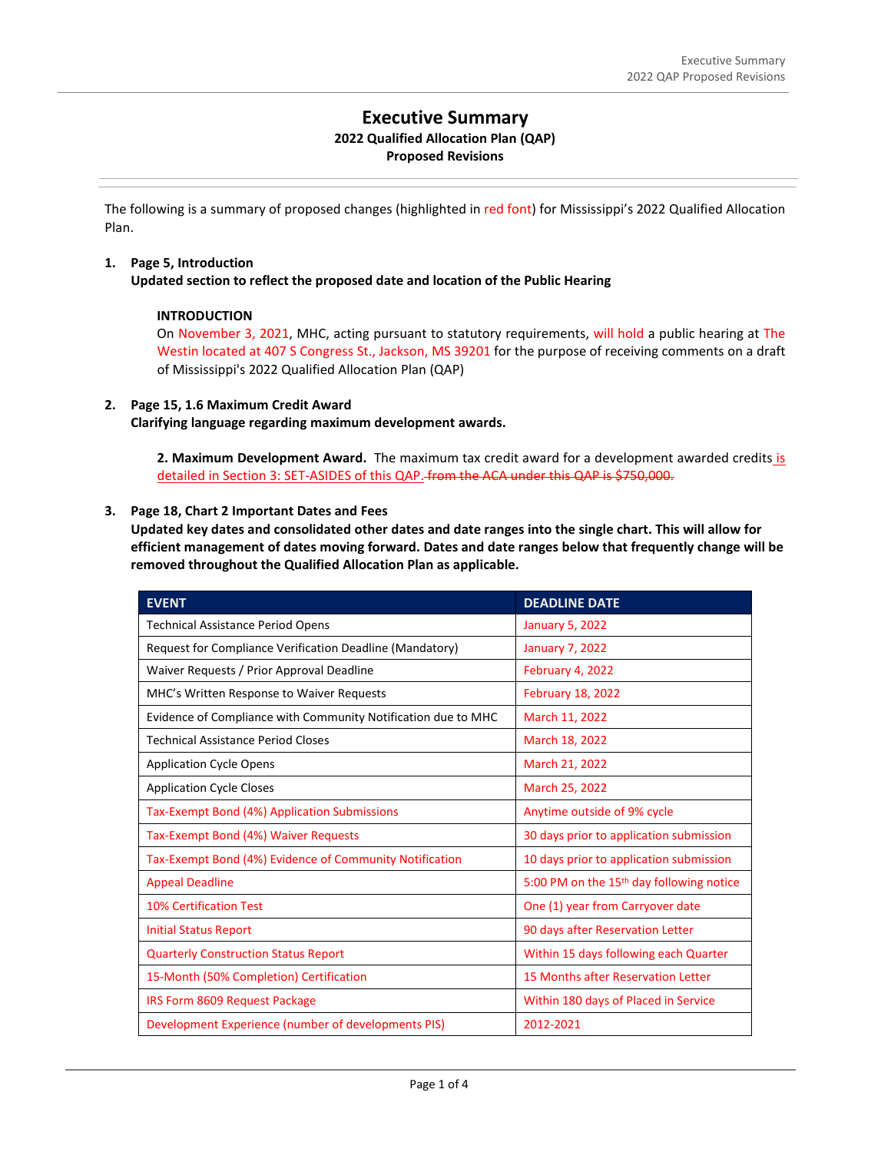# **Executive Summary**

## **2022 Qualified Allocation Plan (QAP)**

## **Proposed Revisions**

The following is a summary of proposed changes (highlighted in red font) for Mississippi's 2022 Qualified Allocation Plan.

## **1. Page 5, Introduction**

**Updated section to reflect the proposed date and location of the Public Hearing**

## **INTRODUCTION**

On November 3, 2021, MHC, acting pursuant to statutory requirements, will hold a public hearing at The Westin located at 407 S Congress St., Jackson, MS 39201 for the purpose of receiving comments on a draft of Mississippi's 2022 Qualified Allocation Plan (QAP)

## **2. Page 15, 1.6 Maximum Credit Award Clarifying language regarding maximum development awards.**

**2. Maximum Development Award.** The maximum tax credit award for a development awarded credits is detailed in Section 3: SET-ASIDES of this QAP. from the ACA under this QAP is \$750,000.

## **3. Page 18, Chart 2 Important Dates and Fees**

**Updated key dates and consolidated other dates and date ranges into the single chart. This will allow for efficient management of dates moving forward. Dates and date ranges below that frequently change will be removed throughout the Qualified Allocation Plan as applicable.** 

| <b>EVENT</b>                                                  | <b>DEADLINE DATE</b>                                 |
|---------------------------------------------------------------|------------------------------------------------------|
| <b>Technical Assistance Period Opens</b>                      | <b>January 5, 2022</b>                               |
| Request for Compliance Verification Deadline (Mandatory)      | January 7, 2022                                      |
| Waiver Requests / Prior Approval Deadline                     | February 4, 2022                                     |
| MHC's Written Response to Waiver Requests                     | <b>February 18, 2022</b>                             |
| Evidence of Compliance with Community Notification due to MHC | March 11, 2022                                       |
| <b>Technical Assistance Period Closes</b>                     | March 18, 2022                                       |
| <b>Application Cycle Opens</b>                                | March 21, 2022                                       |
| <b>Application Cycle Closes</b>                               | March 25, 2022                                       |
| Tax-Exempt Bond (4%) Application Submissions                  | Anytime outside of 9% cycle                          |
| Tax-Exempt Bond (4%) Waiver Requests                          | 30 days prior to application submission              |
| Tax-Exempt Bond (4%) Evidence of Community Notification       | 10 days prior to application submission              |
| <b>Appeal Deadline</b>                                        | 5:00 PM on the 15 <sup>th</sup> day following notice |
| <b>10% Certification Test</b>                                 | One (1) year from Carryover date                     |
| <b>Initial Status Report</b>                                  | 90 days after Reservation Letter                     |
| <b>Quarterly Construction Status Report</b>                   | Within 15 days following each Quarter                |
| 15-Month (50% Completion) Certification                       | 15 Months after Reservation Letter                   |
| IRS Form 8609 Request Package                                 | Within 180 days of Placed in Service                 |
| Development Experience (number of developments PIS)           | 2012-2021                                            |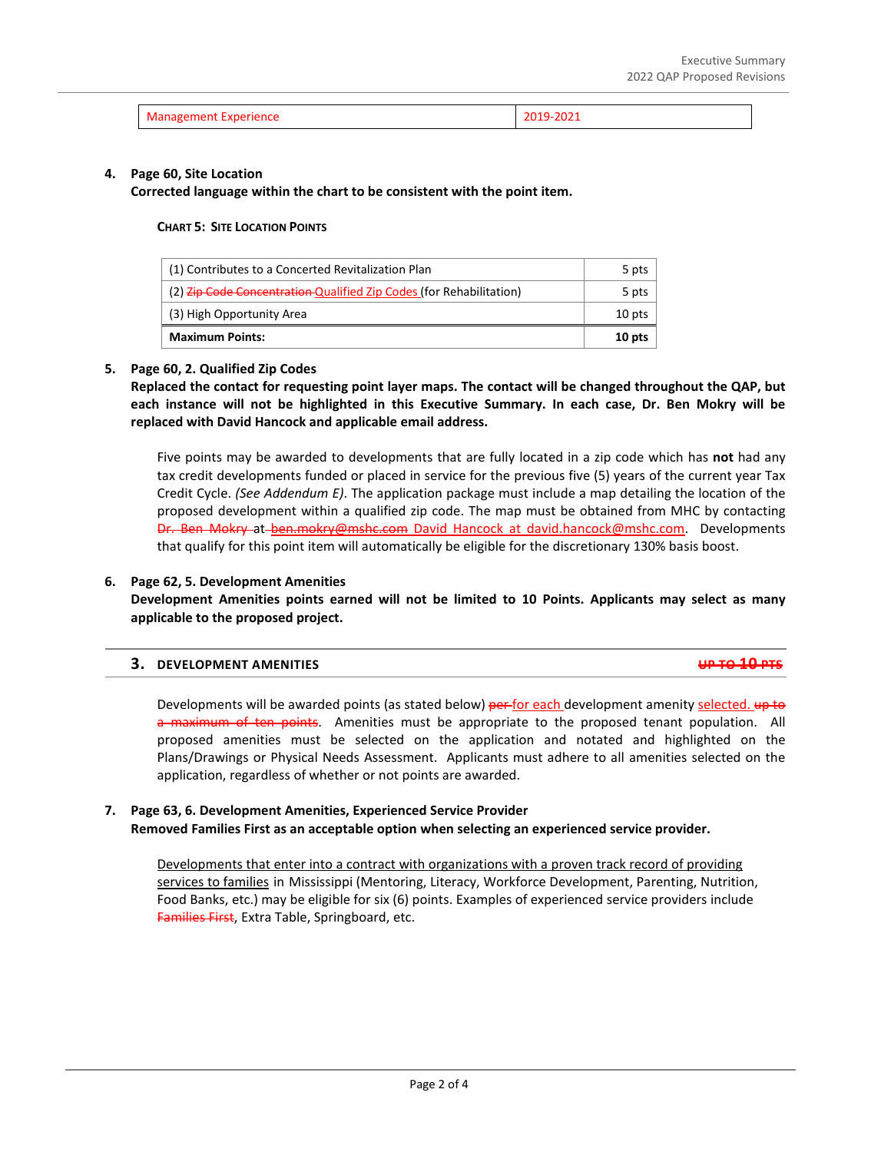| Management Experience | <b>ZU19-ZUZI</b> |
|-----------------------|------------------|
|-----------------------|------------------|

#### **4. Page 60, Site Location**

**Corrected language within the chart to be consistent with the point item.**

#### **CHART 5: SITE LOCATION POINTS**

| (1) Contributes to a Concerted Revitalization Plan                         |  |
|----------------------------------------------------------------------------|--|
| (2) <b>Zip Code Concentration Qualified Zip Codes (for Rehabilitation)</b> |  |
| (3) High Opportunity Area                                                  |  |
| <b>Maximum Points:</b>                                                     |  |

#### **5. Page 60, 2. Qualified Zip Codes**

**Replaced the contact for requesting point layer maps. The contact will be changed throughout the QAP, but each instance will not be highlighted in this Executive Summary. In each case, Dr. Ben Mokry will be replaced with David Hancock and applicable email address.**

Five points may be awarded to developments that are fully located in a zip code which has **not** had any tax credit developments funded or placed in service for the previous five (5) years of the current year Tax Credit Cycle. *(See Addendum E)*. The application package must include a map detailing the location of the proposed development within a qualified zip code. The map must be obtained from MHC by contacting Dr. Ben Mokry at ben.mokry@mshc.com David Hancock at david.hancock@mshc.com. Developments that qualify for this point item will automatically be eligible for the discretionary 130% basis boost.

#### **6. Page 62, 5. Development Amenities**

**Development Amenities points earned will not be limited to 10 Points. Applicants may select as many applicable to the proposed project.**

|  | 3. DEVELOPMENT AMENITIES | $10.70.10 \text{ m}$<br><del>, 60 10 10 110</del> |
|--|--------------------------|---------------------------------------------------|
|--|--------------------------|---------------------------------------------------|

Developments will be awarded points (as stated below) per-for each development amenity selected. up to a maximum of ten points. Amenities must be appropriate to the proposed tenant population. All proposed amenities must be selected on the application and notated and highlighted on the Plans/Drawings or Physical Needs Assessment. Applicants must adhere to all amenities selected on the application, regardless of whether or not points are awarded.

### **7. Page 63, 6. Development Amenities, Experienced Service Provider Removed Families First as an acceptable option when selecting an experienced service provider.**

Developments that enter into a contract with organizations with a proven track record of providing services to families in Mississippi (Mentoring, Literacy, Workforce Development, Parenting, Nutrition, Food Banks, etc.) may be eligible for six (6) points. Examples of experienced service providers include Families First, Extra Table, Springboard, etc.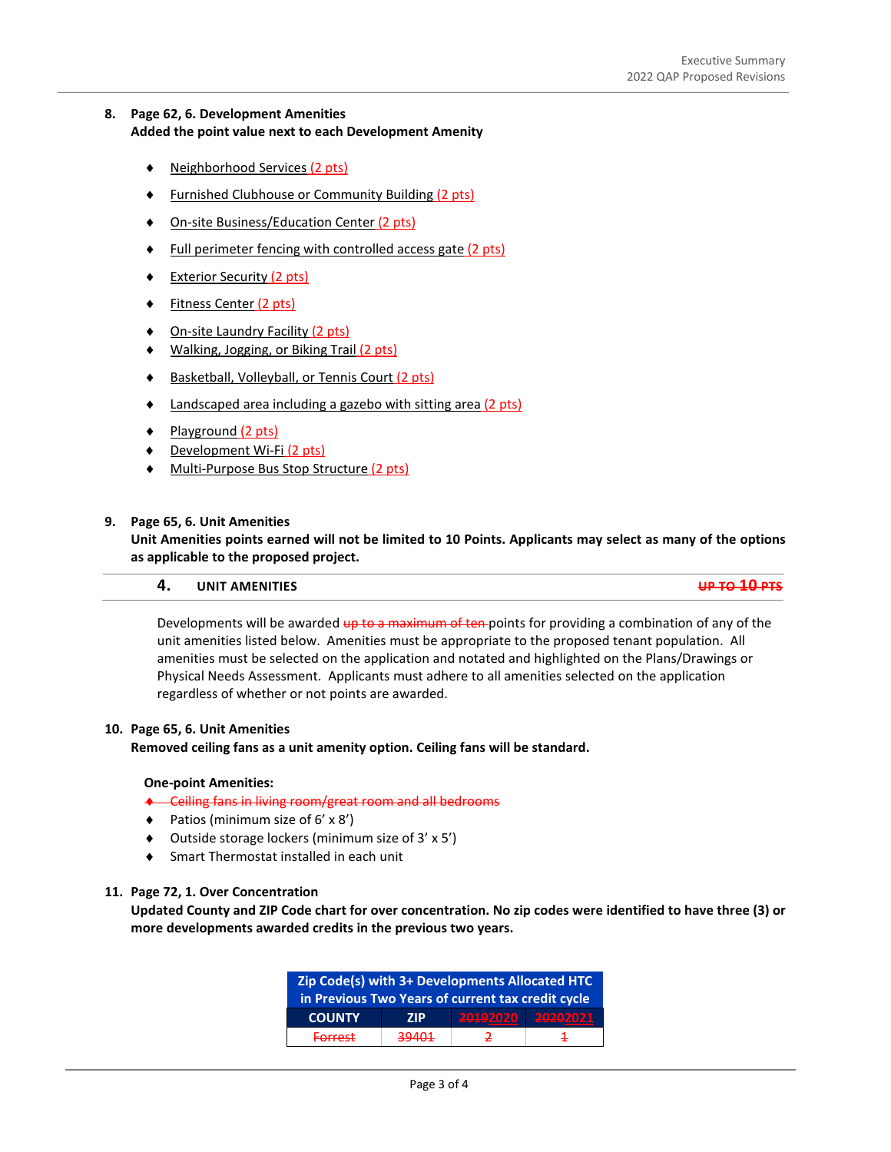## **8. Page 62, 6. Development Amenities Added the point value next to each Development Amenity**

- ♦ Neighborhood Services (2 pts)
- **Furnished Clubhouse or Community Building (2 pts)**
- On-site Business/Education Center (2 pts)
- Full perimeter fencing with controlled access gate (2 pts)
- **Exterior Security (2 pts)**
- **Fitness Center (2 pts)**
- On-site Laundry Facility (2 pts)
- Walking, Jogging, or Biking Trail (2 pts)
- Basketball, Volleyball, or Tennis Court (2 pts)
- Landscaped area including a gazebo with sitting area (2 pts)
- Playground (2 pts)
- ♦ Development Wi-Fi (2 pts)
- ♦ Multi-Purpose Bus Stop Structure (2 pts)

#### **9. Page 65, 6. Unit Amenities**

**Unit Amenities points earned will not be limited to 10 Points. Applicants may select as many of the options as applicable to the proposed project.** 

## **4. UNIT AMENITIES UP TO 10 PTS**

Developments will be awarded up to a maximum of ten-points for providing a combination of any of the unit amenities listed below. Amenities must be appropriate to the proposed tenant population. All amenities must be selected on the application and notated and highlighted on the Plans/Drawings or Physical Needs Assessment. Applicants must adhere to all amenities selected on the application regardless of whether or not points are awarded.

#### **10. Page 65, 6. Unit Amenities**

**Removed ceiling fans as a unit amenity option. Ceiling fans will be standard.** 

#### **One-point Amenities:**

- ♦ Ceiling fans in living room/great room and all bedrooms
- ♦ Patios (minimum size of 6' x 8')
- ♦ Outside storage lockers (minimum size of 3' x 5')
- Smart Thermostat installed in each unit

#### **11. Page 72, 1. Over Concentration**

**Updated County and ZIP Code chart for over concentration. No zip codes were identified to have three (3) or more developments awarded credits in the previous two years.** 

| Zip Code(s) with 3+ Developments Allocated HTC    |            |              |          |  |  |  |  |
|---------------------------------------------------|------------|--------------|----------|--|--|--|--|
| in Previous Two Years of current tax credit cycle |            |              |          |  |  |  |  |
| <b>COUNTY</b>                                     | <b>7IP</b> | 20192020     | 20202021 |  |  |  |  |
| <b>Forrest</b>                                    | 39401      | $\mathbf{r}$ | ∓        |  |  |  |  |